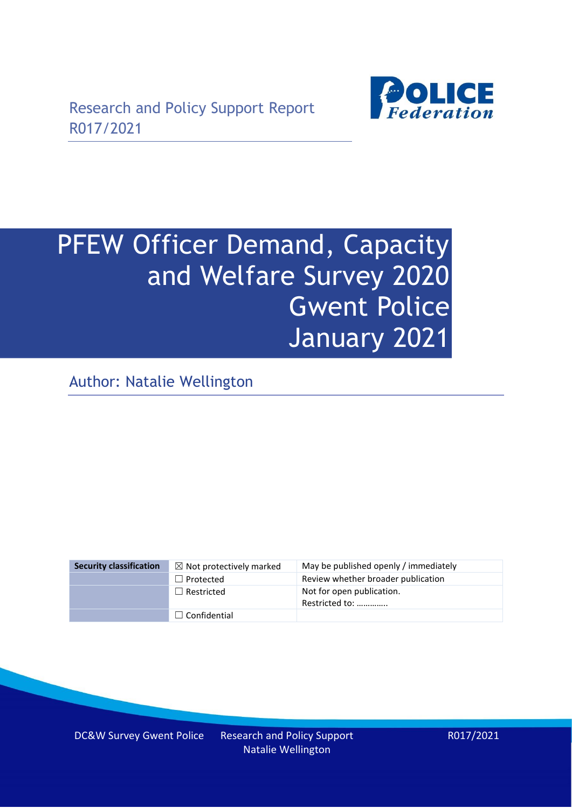

# PFEW Officer Demand, Capacity and Welfare Survey 2020 Gwent Police January 2021

Author: Natalie Wellington

| <b>Security classification</b> | $\boxtimes$ Not protectively marked | May be published openly / immediately       |
|--------------------------------|-------------------------------------|---------------------------------------------|
|                                | $\Box$ Protected                    | Review whether broader publication          |
|                                | $\Box$ Restricted                   | Not for open publication.<br>Restricted to: |
|                                | $\Box$ Confidential                 |                                             |

DC&W Survey Gwent Police Research and Policy Support Natalie Wellington

R017/2021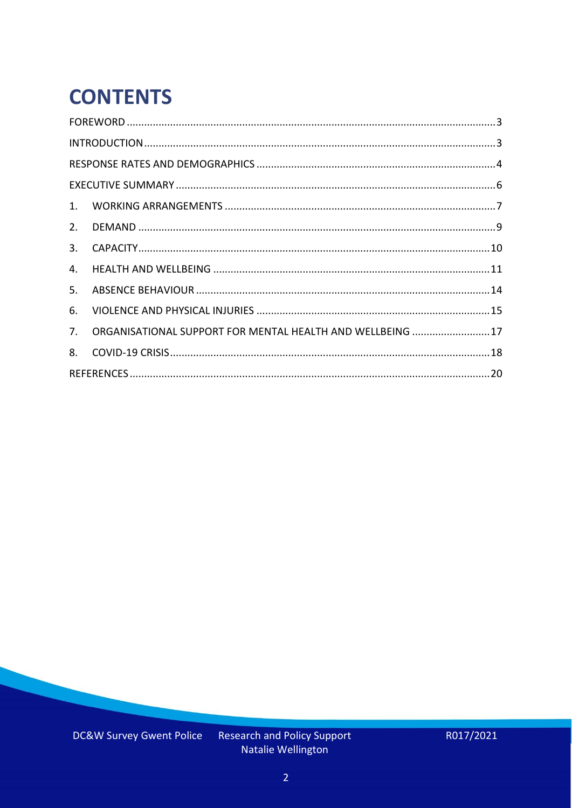# **CONTENTS**

| 2.          |                                                            |  |
|-------------|------------------------------------------------------------|--|
| 3.          |                                                            |  |
| 4.          |                                                            |  |
| 5.          |                                                            |  |
| 6.          |                                                            |  |
| $7_{\cdot}$ | ORGANISATIONAL SUPPORT FOR MENTAL HEALTH AND WELLBEING  17 |  |
| 8.          |                                                            |  |
|             |                                                            |  |

Research and Policy Support<br>Natalie Wellington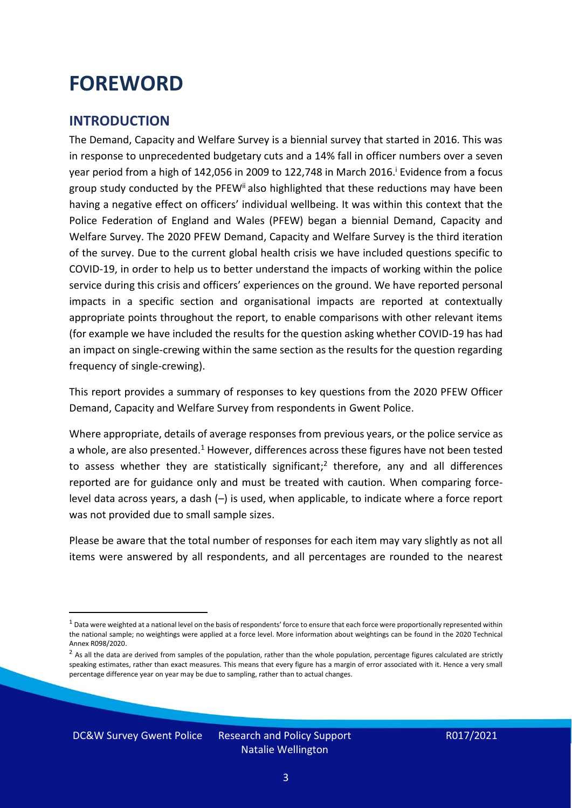### <span id="page-2-0"></span>**FOREWORD**

#### <span id="page-2-1"></span>**INTRODUCTION**

The Demand, Capacity and Welfare Survey is a biennial survey that started in 2016. This was in response to unprecedented budgetary cuts and a 14% fall in officer numbers over a seven year period from a high of 142,056 in 2009 to 122,748 in March 2016. <sup>i</sup> Evidence from a focus group study conducted by the PFEW<sup>ii</sup> also highlighted that these reductions may have been having a negative effect on officers' individual wellbeing. It was within this context that the Police Federation of England and Wales (PFEW) began a biennial Demand, Capacity and Welfare Survey. The 2020 PFEW Demand, Capacity and Welfare Survey is the third iteration of the survey. Due to the current global health crisis we have included questions specific to COVID-19, in order to help us to better understand the impacts of working within the police service during this crisis and officers' experiences on the ground. We have reported personal impacts in a specific section and organisational impacts are reported at contextually appropriate points throughout the report, to enable comparisons with other relevant items (for example we have included the results for the question asking whether COVID-19 has had an impact on single-crewing within the same section as the results for the question regarding frequency of single-crewing).

This report provides a summary of responses to key questions from the 2020 PFEW Officer Demand, Capacity and Welfare Survey from respondents in Gwent Police.

Where appropriate, details of average responses from previous years, or the police service as a whole, are also presented.<sup>1</sup> However, differences across these figures have not been tested to assess whether they are statistically significant;<sup>2</sup> therefore, any and all differences reported are for guidance only and must be treated with caution. When comparing forcelevel data across years, a dash (–) is used, when applicable, to indicate where a force report was not provided due to small sample sizes.

Please be aware that the total number of responses for each item may vary slightly as not all items were answered by all respondents, and all percentages are rounded to the nearest

DC&W Survey Gwent Police Research and Policy Support

 $1$  Data were weighted at a national level on the basis of respondents' force to ensure that each force were proportionally represented within the national sample; no weightings were applied at a force level. More information about weightings can be found in the 2020 Technical Annex R098/2020.

 $2$  As all the data are derived from samples of the population, rather than the whole population, percentage figures calculated are strictly speaking estimates, rather than exact measures. This means that every figure has a margin of error associated with it. Hence a very small percentage difference year on year may be due to sampling, rather than to actual changes.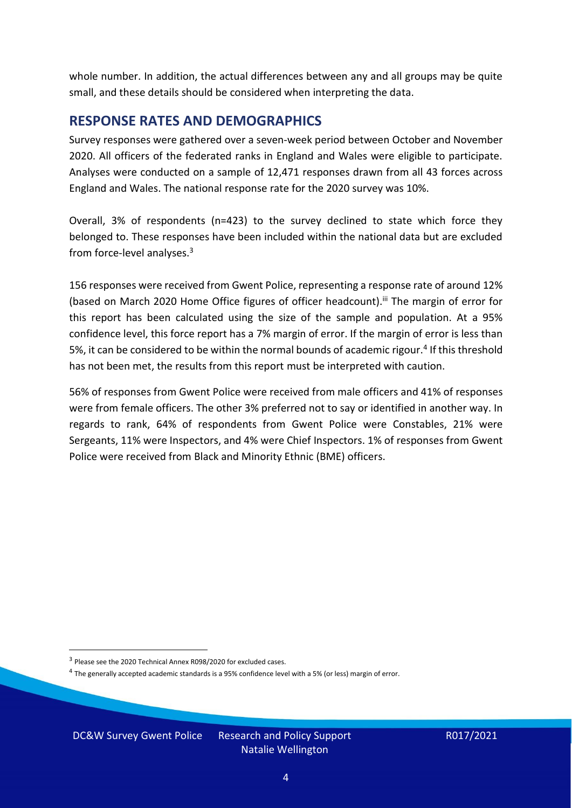whole number. In addition, the actual differences between any and all groups may be quite small, and these details should be considered when interpreting the data.

#### <span id="page-3-0"></span>**RESPONSE RATES AND DEMOGRAPHICS**

Survey responses were gathered over a seven-week period between October and November 2020. All officers of the federated ranks in England and Wales were eligible to participate. Analyses were conducted on a sample of 12,471 responses drawn from all 43 forces across England and Wales. The national response rate for the 2020 survey was 10%.

Overall, 3% of respondents (n=423) to the survey declined to state which force they belonged to. These responses have been included within the national data but are excluded from force-level analyses. 3

156 responses were received from Gwent Police, representing a response rate of around 12% (based on March 2020 Home Office figures of officer headcount).<sup>iii</sup> The margin of error for this report has been calculated using the size of the sample and population. At a 95% confidence level, this force report has a 7% margin of error. If the margin of error is less than 5%, it can be considered to be within the normal bounds of academic rigour.<sup>4</sup> If this threshold has not been met, the results from this report must be interpreted with caution.

56% of responses from Gwent Police were received from male officers and 41% of responses were from female officers. The other 3% preferred not to say or identified in another way. In regards to rank, 64% of respondents from Gwent Police were Constables, 21% were Sergeants, 11% were Inspectors, and 4% were Chief Inspectors. 1% of responses from Gwent Police were received from Black and Minority Ethnic (BME) officers.

DC&W Survey Gwent Police Research and Policy Support

<sup>&</sup>lt;sup>3</sup> Please see the 2020 Technical Annex R098/2020 for excluded cases.

<sup>&</sup>lt;sup>4</sup> The generally accepted academic standards is a 95% confidence level with a 5% (or less) margin of error.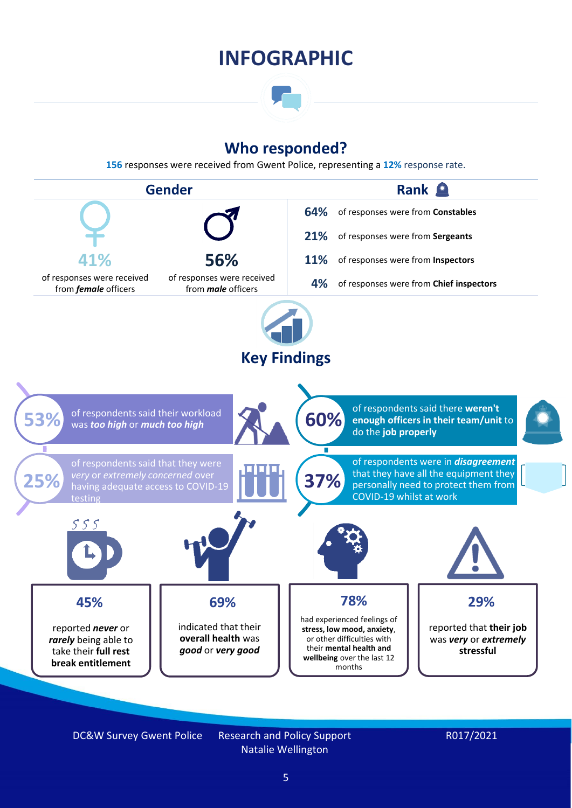### **INFOGRAPHIC**

### **Who responded?**

**156** responses were received from Gwent Police, representing a **12%** response rate.



DC&W Survey Gwent Police Research and Policy Support Natalie Wellington

#### R017/2021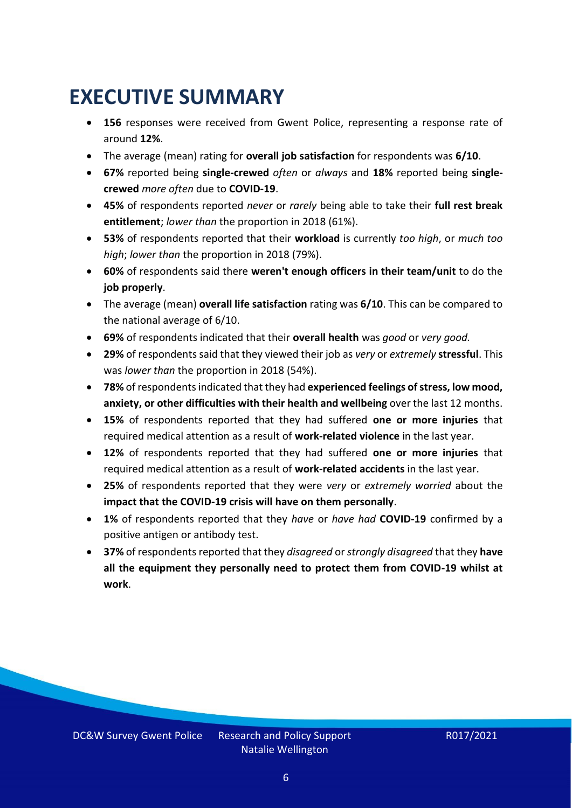### <span id="page-5-0"></span>**EXECUTIVE SUMMARY**

- **156** responses were received from Gwent Police, representing a response rate of around **12%**.
- The average (mean) rating for **overall job satisfaction** for respondents was **6/10**.
- **67%** reported being **single-crewed** *often* or *always* and **18%** reported being **singlecrewed** *more often* due to **COVID-19**.
- **45%** of respondents reported *never* or *rarely* being able to take their **full rest break entitlement**; *lower than* the proportion in 2018 (61%).
- **53%** of respondents reported that their **workload** is currently *too high*, or *much too high*; *lower than* the proportion in 2018 (79%).
- **60%** of respondents said there **weren't enough officers in their team/unit** to do the **job properly**.
- The average (mean) **overall life satisfaction** rating was **6/10**. This can be compared to the national average of 6/10.
- **69%** of respondents indicated that their **overall health** was *good* or *very good.*
- **29%** of respondents said that they viewed their job as *very* or *extremely* **stressful**. This was *lower than* the proportion in 2018 (54%).
- **78%** of respondents indicated that they had **experienced feelings of stress, low mood, anxiety, or other difficulties with their health and wellbeing** over the last 12 months.
- **15%** of respondents reported that they had suffered **one or more injuries** that required medical attention as a result of **work-related violence** in the last year.
- **12%** of respondents reported that they had suffered **one or more injuries** that required medical attention as a result of **work-related accidents** in the last year.
- **25%** of respondents reported that they were *very* or *extremely worried* about the **impact that the COVID-19 crisis will have on them personally**.
- **1%** of respondents reported that they *have* or *have had* **COVID-19** confirmed by a positive antigen or antibody test.
- **37%** of respondents reported that they *disagreed* or *strongly disagreed* that they **have all the equipment they personally need to protect them from COVID-19 whilst at work**.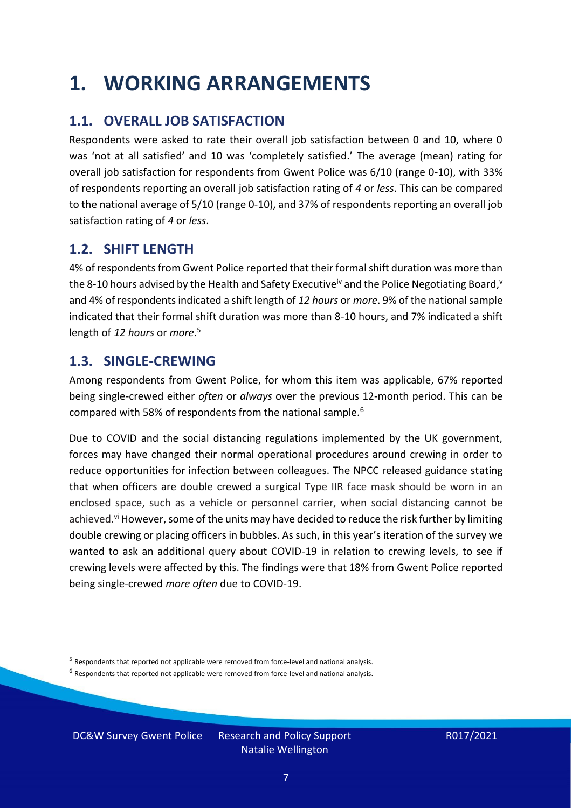### <span id="page-6-0"></span>**1. WORKING ARRANGEMENTS**

### **1.1. OVERALL JOB SATISFACTION**

Respondents were asked to rate their overall job satisfaction between 0 and 10, where 0 was 'not at all satisfied' and 10 was 'completely satisfied.' The average (mean) rating for overall job satisfaction for respondents from Gwent Police was 6/10 (range 0-10), with 33% of respondents reporting an overall job satisfaction rating of *4* or *less*. This can be compared to the national average of 5/10 (range 0-10), and 37% of respondents reporting an overall job satisfaction rating of *4* or *less*.

### **1.2. SHIFT LENGTH**

4% of respondents from Gwent Police reported that their formal shift duration was more than the 8-10 hours advised by the Health and Safety Executive<sup>iv</sup> and the Police Negotiating Board,<sup>v</sup> and 4% of respondents indicated a shift length of *12 hours* or *more*. 9% of the national sample indicated that their formal shift duration was more than 8-10 hours, and 7% indicated a shift length of *12 hours* or *more*. 5

### **1.3. SINGLE-CREWING**

Among respondents from Gwent Police, for whom this item was applicable, 67% reported being single-crewed either *often* or *always* over the previous 12-month period. This can be compared with 58% of respondents from the national sample.<sup>6</sup>

Due to COVID and the social distancing regulations implemented by the UK government, forces may have changed their normal operational procedures around crewing in order to reduce opportunities for infection between colleagues. The NPCC released guidance stating that when officers are double crewed a surgical Type IIR face mask should be worn in an enclosed space, such as a vehicle or personnel carrier, when social distancing cannot be achieved.<sup>vi</sup> However, some of the units may have decided to reduce the risk further by limiting double crewing or placing officers in bubbles. As such, in this year's iteration of the survey we wanted to ask an additional query about COVID-19 in relation to crewing levels, to see if crewing levels were affected by this. The findings were that 18% from Gwent Police reported being single-crewed *more often* due to COVID-19.

DC&W Survey Gwent Police Research and Policy Support

<sup>&</sup>lt;sup>5</sup> Respondents that reported not applicable were removed from force-level and national analysis.

 $<sup>6</sup>$  Respondents that reported not applicable were removed from force-level and national analysis.</sup>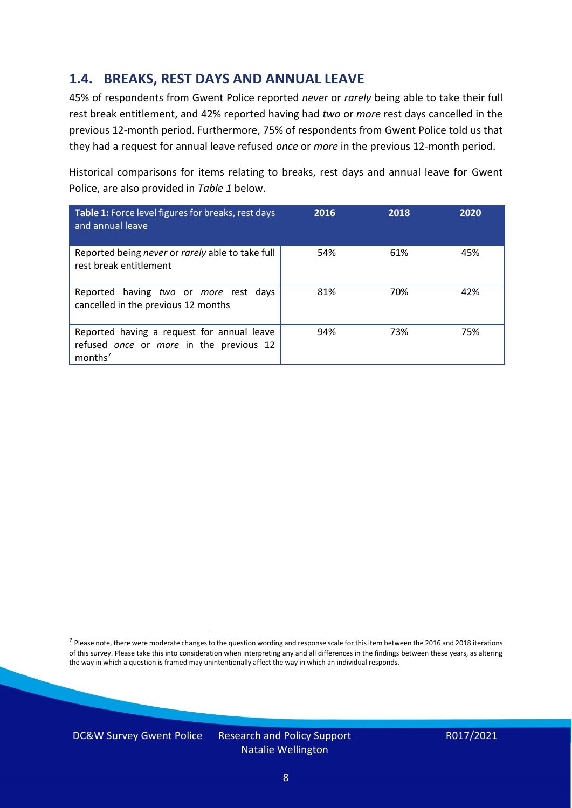### **1.4. BREAKS, REST DAYS AND ANNUAL LEAVE**

45% of respondents from Gwent Police reported *never* or *rarely* being able to take their full rest break entitlement, and 42% reported having had *two* or *more* rest days cancelled in the previous 12-month period. Furthermore, 75% of respondents from Gwent Police told us that they had a request for annual leave refused *once* or *more* in the previous 12-month period.

Historical comparisons for items relating to breaks, rest days and annual leave for Gwent Police, are also provided in *Table 1* below.

| Table 1: Force level figures for breaks, rest days<br>and annual leave                                       | 2016 | 2018 | 2020 |
|--------------------------------------------------------------------------------------------------------------|------|------|------|
| Reported being never or rarely able to take full<br>rest break entitlement                                   | 54%  | 61%  | 45%  |
| Reported having two or more rest days<br>cancelled in the previous 12 months                                 | 81%  | 70%  | 42%  |
| Reported having a request for annual leave<br>refused once or more in the previous 12<br>months <sup>7</sup> | 94%  | 73%  | 75%  |

DC&W Survey Gwent Police Research and Policy Support



<sup>&</sup>lt;sup>7</sup> Please note, there were moderate changes to the question wording and response scale for this item between the 2016 and 2018 iterations of this survey. Please take this into consideration when interpreting any and all differences in the findings between these years, as altering the way in which a question is framed may unintentionally affect the way in which an individual responds.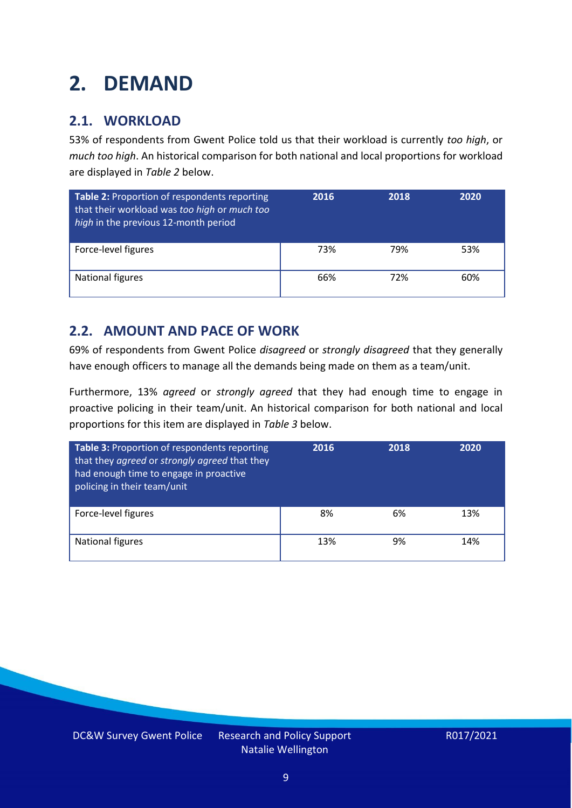### <span id="page-8-0"></span>**2. DEMAND**

### **2.1. WORKLOAD**

53% of respondents from Gwent Police told us that their workload is currently *too high*, or *much too high*. An historical comparison for both national and local proportions for workload are displayed in *Table 2* below.

| Table 2: Proportion of respondents reporting<br>that their workload was too high or much too<br>high in the previous 12-month period | 2016 | 2018 | 2020 |
|--------------------------------------------------------------------------------------------------------------------------------------|------|------|------|
| Force-level figures                                                                                                                  | 73%  | 79%  | 53%  |
| National figures                                                                                                                     | 66%  | 72%  | 60%  |

### **2.2. AMOUNT AND PACE OF WORK**

69% of respondents from Gwent Police *disagreed* or *strongly disagreed* that they generally have enough officers to manage all the demands being made on them as a team/unit.

Furthermore, 13% *agreed* or *strongly agreed* that they had enough time to engage in proactive policing in their team/unit. An historical comparison for both national and local proportions for this item are displayed in *Table 3* below.

| Table 3: Proportion of respondents reporting<br>that they agreed or strongly agreed that they<br>had enough time to engage in proactive<br>policing in their team/unit | 2016 | 2018 | 2020 |
|------------------------------------------------------------------------------------------------------------------------------------------------------------------------|------|------|------|
| Force-level figures                                                                                                                                                    | 8%   | 6%   | 13%  |
| <b>National figures</b>                                                                                                                                                | 13%  | 9%   | 14%  |

DC&W Survey Gwent Police Research and Policy Support Natalie Wellington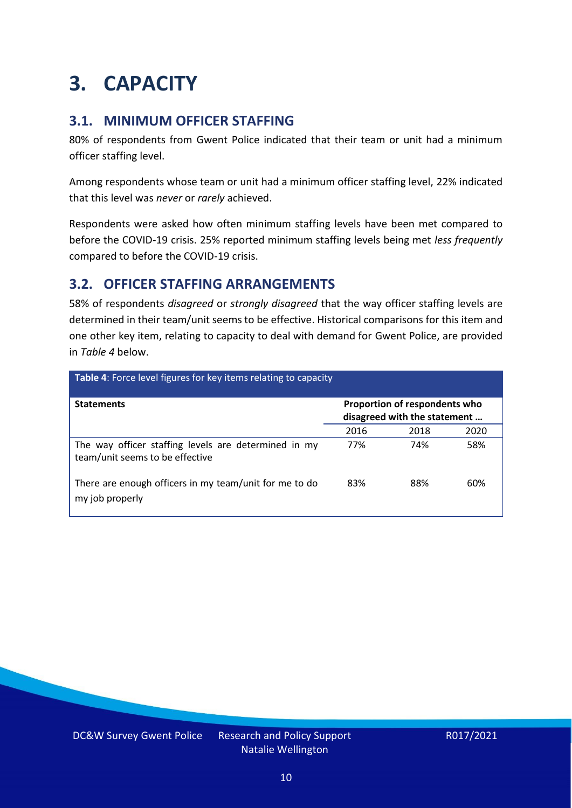### <span id="page-9-0"></span>**3. CAPACITY**

### **3.1. MINIMUM OFFICER STAFFING**

80% of respondents from Gwent Police indicated that their team or unit had a minimum officer staffing level.

Among respondents whose team or unit had a minimum officer staffing level, 22% indicated that this level was *never* or *rarely* achieved.

Respondents were asked how often minimum staffing levels have been met compared to before the COVID-19 crisis. 25% reported minimum staffing levels being met *less frequently* compared to before the COVID-19 crisis.

### **3.2. OFFICER STAFFING ARRANGEMENTS**

58% of respondents *disagreed* or *strongly disagreed* that the way officer staffing levels are determined in their team/unit seems to be effective. Historical comparisons for this item and one other key item, relating to capacity to deal with demand for Gwent Police, are provided in *Table 4* below.

| <b>Table 4:</b> Force level figures for key items relating to capacity                  |                                                               |      |      |  |
|-----------------------------------------------------------------------------------------|---------------------------------------------------------------|------|------|--|
| <b>Statements</b>                                                                       | Proportion of respondents who<br>disagreed with the statement |      |      |  |
|                                                                                         | 2016                                                          | 2018 | 2020 |  |
| The way officer staffing levels are determined in my<br>team/unit seems to be effective | 77%                                                           | 74%  | 58%  |  |
| There are enough officers in my team/unit for me to do<br>my job properly               | 83%                                                           | 88%  | 60%  |  |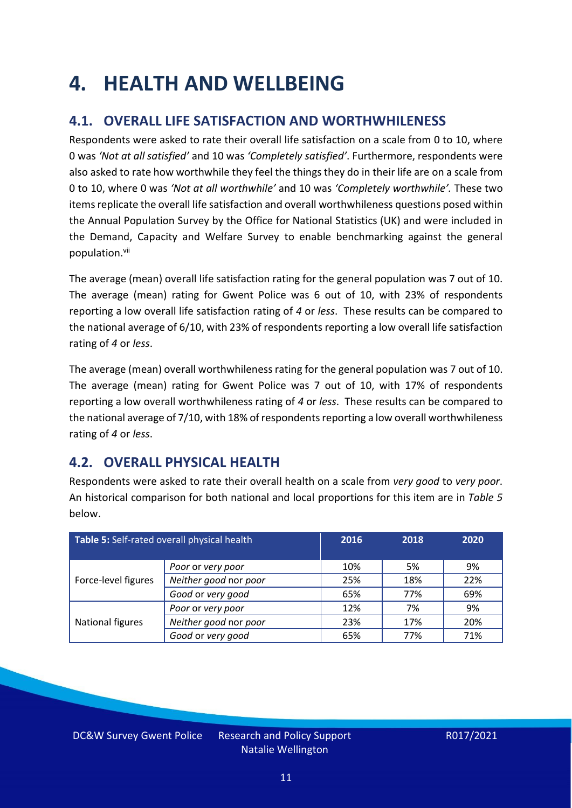### <span id="page-10-0"></span>**4. HEALTH AND WELLBEING**

### **4.1. OVERALL LIFE SATISFACTION AND WORTHWHILENESS**

Respondents were asked to rate their overall life satisfaction on a scale from 0 to 10, where 0 was *'Not at all satisfied'* and 10 was *'Completely satisfied'*. Furthermore, respondents were also asked to rate how worthwhile they feel the things they do in their life are on a scale from 0 to 10, where 0 was *'Not at all worthwhile'* and 10 was *'Completely worthwhile'.* These two items replicate the overall life satisfaction and overall worthwhileness questions posed within the Annual Population Survey by the Office for National Statistics (UK) and were included in the Demand, Capacity and Welfare Survey to enable benchmarking against the general population. vii

The average (mean) overall life satisfaction rating for the general population was 7 out of 10. The average (mean) rating for Gwent Police was 6 out of 10, with 23% of respondents reporting a low overall life satisfaction rating of *4* or *less*. These results can be compared to the national average of 6/10, with 23% of respondents reporting a low overall life satisfaction rating of *4* or *less*.

The average (mean) overall worthwhileness rating for the general population was 7 out of 10. The average (mean) rating for Gwent Police was 7 out of 10, with 17% of respondents reporting a low overall worthwhileness rating of *4* or *less*. These results can be compared to the national average of 7/10, with 18% of respondents reporting a low overall worthwhileness rating of *4* or *less*.

### **4.2. OVERALL PHYSICAL HEALTH**

Respondents were asked to rate their overall health on a scale from *very good* to *very poor*. An historical comparison for both national and local proportions for this item are in *Table 5* below.

| Table 5: Self-rated overall physical health |                       | 2016 | 2018 | 2020 |
|---------------------------------------------|-----------------------|------|------|------|
|                                             | Poor or very poor     | 10%  | 5%   | 9%   |
| Force-level figures                         | Neither good nor poor | 25%  | 18%  | 22%  |
|                                             | Good or very good     | 65%  | 77%  | 69%  |
|                                             | Poor or very poor     | 12%  | 7%   | 9%   |
| National figures                            | Neither good nor poor | 23%  | 17%  | 20%  |
|                                             | Good or very good     | 65%  | 77%  | 71%  |

DC&W Survey Gwent Police Research and Policy Support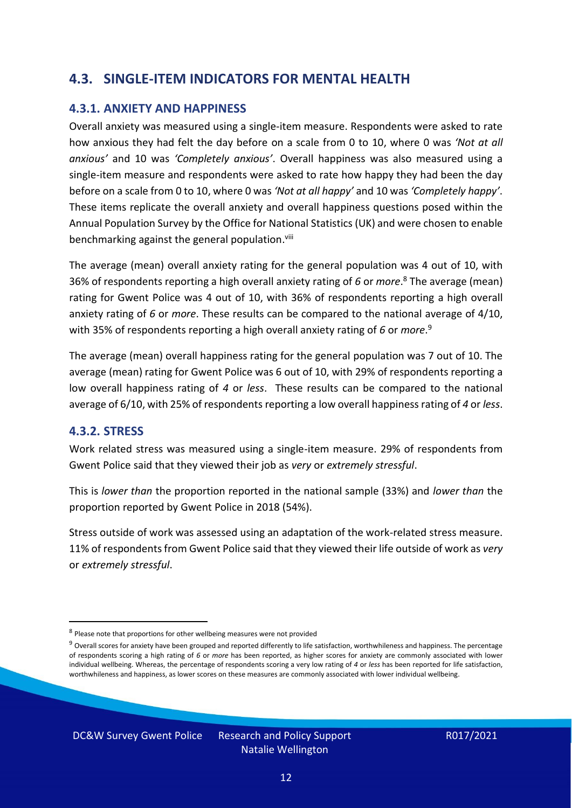### **4.3. SINGLE-ITEM INDICATORS FOR MENTAL HEALTH**

#### **4.3.1. ANXIETY AND HAPPINESS**

Overall anxiety was measured using a single-item measure. Respondents were asked to rate how anxious they had felt the day before on a scale from 0 to 10, where 0 was *'Not at all anxious'* and 10 was *'Completely anxious'*. Overall happiness was also measured using a single-item measure and respondents were asked to rate how happy they had been the day before on a scale from 0 to 10, where 0 was *'Not at all happy'* and 10 was *'Completely happy'*. These items replicate the overall anxiety and overall happiness questions posed within the Annual Population Survey by the Office for National Statistics (UK) and were chosen to enable benchmarking against the general population.<sup>viii</sup>

The average (mean) overall anxiety rating for the general population was 4 out of 10, with 36% of respondents reporting a high overall anxiety rating of *6* or *more*. <sup>8</sup> The average (mean) rating for Gwent Police was 4 out of 10, with 36% of respondents reporting a high overall anxiety rating of *6* or *more*. These results can be compared to the national average of 4/10, with 35% of respondents reporting a high overall anxiety rating of *6* or *more*. 9

The average (mean) overall happiness rating for the general population was 7 out of 10. The average (mean) rating for Gwent Police was 6 out of 10, with 29% of respondents reporting a low overall happiness rating of *4* or *less*. These results can be compared to the national average of 6/10, with 25% of respondents reporting a low overall happinessrating of *4* or *less*.

#### **4.3.2. STRESS**

Work related stress was measured using a single-item measure. 29% of respondents from Gwent Police said that they viewed their job as *very* or *extremely stressful*.

This is *lower than* the proportion reported in the national sample (33%) and *lower than* the proportion reported by Gwent Police in 2018 (54%).

Stress outside of work was assessed using an adaptation of the work-related stress measure. 11% of respondents from Gwent Police said that they viewed their life outside of work as *very* or *extremely stressful*.

DC&W Survey Gwent Police Research and Policy Support

<sup>&</sup>lt;sup>8</sup> Please note that proportions for other wellbeing measures were not provided

 $9$  Overall scores for anxiety have been grouped and reported differently to life satisfaction, worthwhileness and happiness. The percentage of respondents scoring a high rating of *6* or *more* has been reported, as higher scores for anxiety are commonly associated with lower individual wellbeing. Whereas, the percentage of respondents scoring a very low rating of *4* or *less* has been reported for life satisfaction, worthwhileness and happiness, as lower scores on these measures are commonly associated with lower individual wellbeing.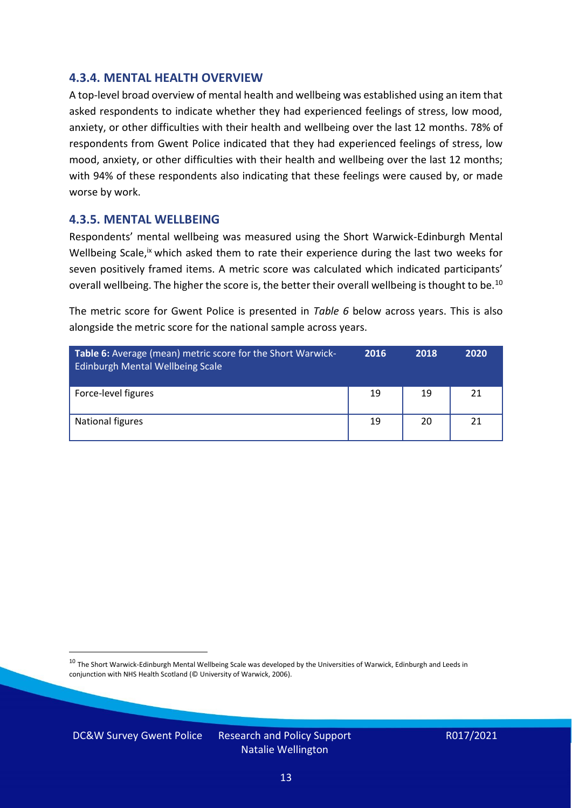#### **4.3.4. MENTAL HEALTH OVERVIEW**

A top-level broad overview of mental health and wellbeing was established using an item that asked respondents to indicate whether they had experienced feelings of stress, low mood, anxiety, or other difficulties with their health and wellbeing over the last 12 months. 78% of respondents from Gwent Police indicated that they had experienced feelings of stress, low mood, anxiety, or other difficulties with their health and wellbeing over the last 12 months; with 94% of these respondents also indicating that these feelings were caused by, or made worse by work.

#### **4.3.5. MENTAL WELLBEING**

Respondents' mental wellbeing was measured using the Short Warwick-Edinburgh Mental Wellbeing Scale,<sup>ix</sup> which asked them to rate their experience during the last two weeks for seven positively framed items. A metric score was calculated which indicated participants' overall wellbeing. The higher the score is, the better their overall wellbeing is thought to be.<sup>10</sup>

The metric score for Gwent Police is presented in *Table 6* below across years. This is also alongside the metric score for the national sample across years.

| <b>Table 6:</b> Average (mean) metric score for the Short Warwick-<br>Edinburgh Mental Wellbeing Scale | 2016 | 2018 | 2020 |
|--------------------------------------------------------------------------------------------------------|------|------|------|
| Force-level figures                                                                                    | 19   | 19   | 21   |
| National figures                                                                                       | 19   | 20   | 21   |

 $10$  The Short Warwick-Edinburgh Mental Wellbeing Scale was developed by the Universities of Warwick, Edinburgh and Leeds in conjunction with NHS Health Scotland (© University of Warwick, 2006).

DC&W Survey Gwent Police Research and Policy Support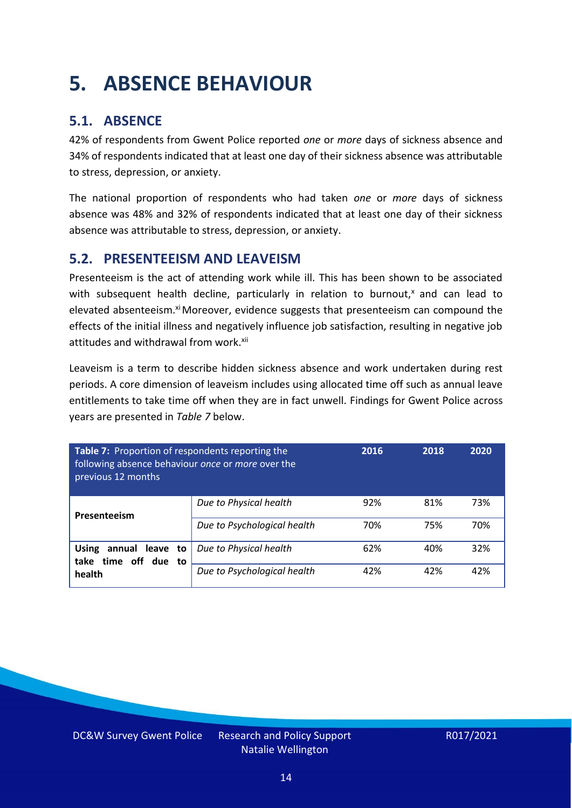### <span id="page-13-0"></span>**5. ABSENCE BEHAVIOUR**

### **5.1. ABSENCE**

42% of respondents from Gwent Police reported *one* or *more* days of sickness absence and 34% of respondents indicated that at least one day of their sickness absence was attributable to stress, depression, or anxiety.

The national proportion of respondents who had taken *one* or *more* days of sickness absence was 48% and 32% of respondents indicated that at least one day of their sickness absence was attributable to stress, depression, or anxiety.

### **5.2. PRESENTEEISM AND LEAVEISM**

Presenteeism is the act of attending work while ill. This has been shown to be associated with subsequent health decline, particularly in relation to burnout, $x$  and can lead to elevated absenteeism.<sup>xi</sup> Moreover, evidence suggests that presenteeism can compound the effects of the initial illness and negatively influence job satisfaction, resulting in negative job attitudes and withdrawal from work.<sup>xii</sup>

Leaveism is a term to describe hidden sickness absence and work undertaken during rest periods. A core dimension of leaveism includes using allocated time off such as annual leave entitlements to take time off when they are in fact unwell. Findings for Gwent Police across years are presented in *Table 7* below.

| Table 7: Proportion of respondents reporting the<br>following absence behaviour once or more over the<br>previous 12 months |                             | 2016 | 2018 | 2020 |
|-----------------------------------------------------------------------------------------------------------------------------|-----------------------------|------|------|------|
| Presenteeism                                                                                                                | Due to Physical health      | 92%  | 81%  | 73%  |
|                                                                                                                             | Due to Psychological health | 70%  | 75%  | 70%  |
| annual leave to<br><b>Using</b><br>time off due to<br>take                                                                  | Due to Physical health      | 62%  | 40%  | 32%  |
| health                                                                                                                      | Due to Psychological health | 42%  | 42%  | 42%  |

DC&W Survey Gwent Police Research and Policy Support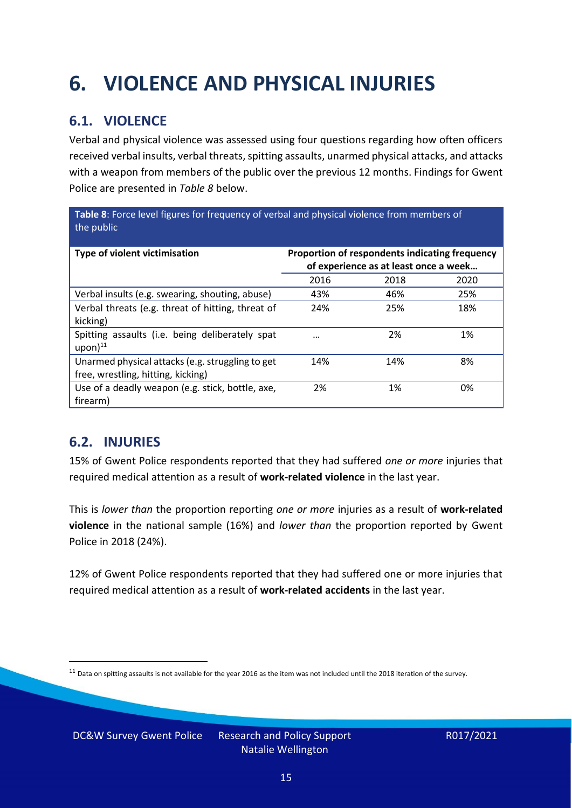## <span id="page-14-0"></span>**6. VIOLENCE AND PHYSICAL INJURIES**

### **6.1. VIOLENCE**

Verbal and physical violence was assessed using four questions regarding how often officers received verbal insults, verbal threats, spitting assaults, unarmed physical attacks, and attacks with a weapon from members of the public over the previous 12 months. Findings for Gwent Police are presented in *Table 8* below.

**Table 8**: Force level figures for frequency of verbal and physical violence from members of the public

| Type of violent victimisation                                                          | Proportion of respondents indicating frequency<br>of experience as at least once a week |      |      |
|----------------------------------------------------------------------------------------|-----------------------------------------------------------------------------------------|------|------|
|                                                                                        | 2016                                                                                    | 2018 | 2020 |
| Verbal insults (e.g. swearing, shouting, abuse)                                        | 43%                                                                                     | 46%  | 25%  |
| Verbal threats (e.g. threat of hitting, threat of<br>kicking)                          | 24%                                                                                     | 25%  | 18%  |
| Spitting assaults (i.e. being deliberately spat<br>$upon)$ <sup>11</sup>               | $\cdots$                                                                                | 2%   | 1%   |
| Unarmed physical attacks (e.g. struggling to get<br>free, wrestling, hitting, kicking) | 14%                                                                                     | 14%  | 8%   |
| Use of a deadly weapon (e.g. stick, bottle, axe,<br>firearm)                           | 2%                                                                                      | 1%   | 0%   |

### **6.2. INJURIES**

15% of Gwent Police respondents reported that they had suffered *one or more* injuries that required medical attention as a result of **work-related violence** in the last year.

This is *lower than* the proportion reporting *one or more* injuries as a result of **work-related violence** in the national sample (16%) and *lower than* the proportion reported by Gwent Police in 2018 (24%).

12% of Gwent Police respondents reported that they had suffered one or more injuries that required medical attention as a result of **work-related accidents** in the last year.

 $11$  Data on spitting assaults is not available for the year 2016 as the item was not included until the 2018 iteration of the survey.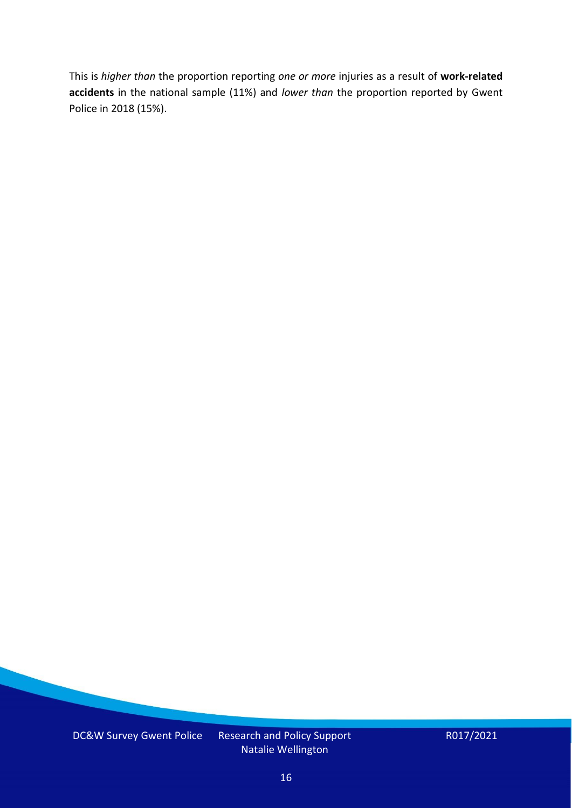This is *higher than* the proportion reporting *one or more* injuries as a result of **work-related accidents** in the national sample (11%) and *lower than* the proportion reported by Gwent Police in 2018 (15%).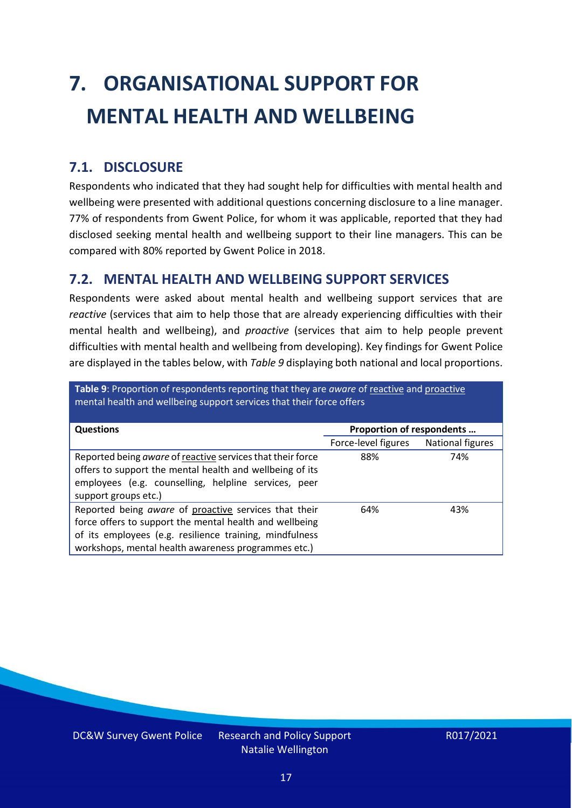# <span id="page-16-0"></span>**7. ORGANISATIONAL SUPPORT FOR MENTAL HEALTH AND WELLBEING**

### **7.1. DISCLOSURE**

Respondents who indicated that they had sought help for difficulties with mental health and wellbeing were presented with additional questions concerning disclosure to a line manager. 77% of respondents from Gwent Police, for whom it was applicable, reported that they had disclosed seeking mental health and wellbeing support to their line managers. This can be compared with 80% reported by Gwent Police in 2018.

### **7.2. MENTAL HEALTH AND WELLBEING SUPPORT SERVICES**

Respondents were asked about mental health and wellbeing support services that are *reactive* (services that aim to help those that are already experiencing difficulties with their mental health and wellbeing), and *proactive* (services that aim to help people prevent difficulties with mental health and wellbeing from developing). Key findings for Gwent Police are displayed in the tables below, with *Table 9* displaying both national and local proportions.

**Table 9**: Proportion of respondents reporting that they are *aware* of reactive and proactive mental health and wellbeing support services that their force offers

| <b>Questions</b>                                                                                                                                                                                                                   | Proportion of respondents |                  |
|------------------------------------------------------------------------------------------------------------------------------------------------------------------------------------------------------------------------------------|---------------------------|------------------|
|                                                                                                                                                                                                                                    | Force-level figures       | National figures |
| Reported being aware of reactive services that their force<br>offers to support the mental health and wellbeing of its<br>employees (e.g. counselling, helpline services, peer<br>support groups etc.)                             | 88%                       | 74%              |
| Reported being aware of proactive services that their<br>force offers to support the mental health and wellbeing<br>of its employees (e.g. resilience training, mindfulness<br>workshops, mental health awareness programmes etc.) | 64%                       | 43%              |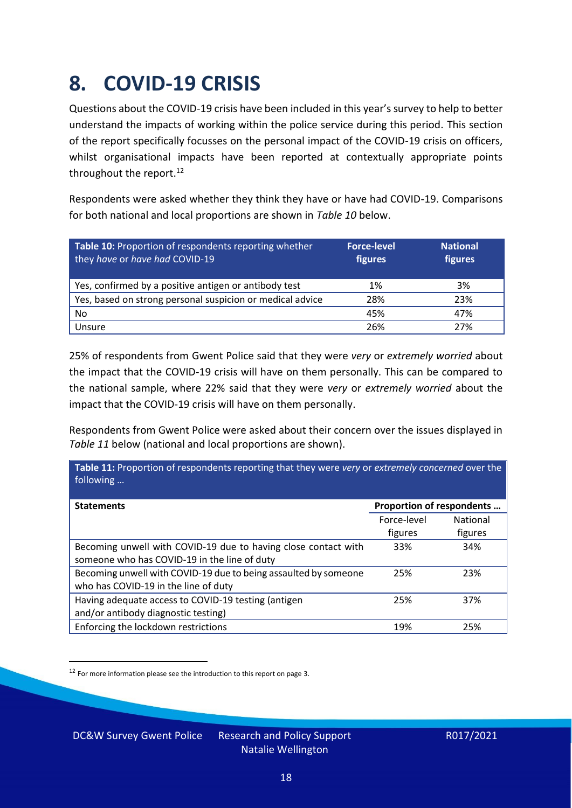### <span id="page-17-0"></span>**8. COVID-19 CRISIS**

Questions about the COVID-19 crisis have been included in this year's survey to help to better understand the impacts of working within the police service during this period. This section of the report specifically focusses on the personal impact of the COVID-19 crisis on officers, whilst organisational impacts have been reported at contextually appropriate points throughout the report.<sup>12</sup>

Respondents were asked whether they think they have or have had COVID-19. Comparisons for both national and local proportions are shown in *Table 10* below.

| Table 10: Proportion of respondents reporting whether<br>they have or have had COVID-19 | <b>Force-level</b><br>figures | <b>National</b><br>figures |
|-----------------------------------------------------------------------------------------|-------------------------------|----------------------------|
| Yes, confirmed by a positive antigen or antibody test                                   | 1%                            | 3%                         |
| Yes, based on strong personal suspicion or medical advice                               | 28%                           | 23%                        |
| No                                                                                      | 45%                           | 47%                        |
| Unsure                                                                                  | 26%                           | 27%                        |

25% of respondents from Gwent Police said that they were *very* or *extremely worried* about the impact that the COVID-19 crisis will have on them personally. This can be compared to the national sample, where 22% said that they were *very* or *extremely worried* about the impact that the COVID-19 crisis will have on them personally.

Respondents from Gwent Police were asked about their concern over the issues displayed in *Table 11* below (national and local proportions are shown).

| Table 11: Proportion of respondents reporting that they were very or extremely concerned over the<br>following |                           |                 |
|----------------------------------------------------------------------------------------------------------------|---------------------------|-----------------|
| <b>Statements</b>                                                                                              | Proportion of respondents |                 |
|                                                                                                                | Force-level               | <b>National</b> |
|                                                                                                                | figures                   | figures         |
| Becoming unwell with COVID-19 due to having close contact with                                                 | 33%                       | 34%             |
| someone who has COVID-19 in the line of duty                                                                   |                           |                 |
| Becoming unwell with COVID-19 due to being assaulted by someone                                                | 25%                       | 23%             |
| who has COVID-19 in the line of duty                                                                           |                           |                 |
| Having adequate access to COVID-19 testing (antigen                                                            | 25%                       | 37%             |
| and/or antibody diagnostic testing)                                                                            |                           |                 |
| Enforcing the lockdown restrictions                                                                            | 19%                       | 25%             |

<sup>12</sup> For more information please see the introduction to this report on page 3.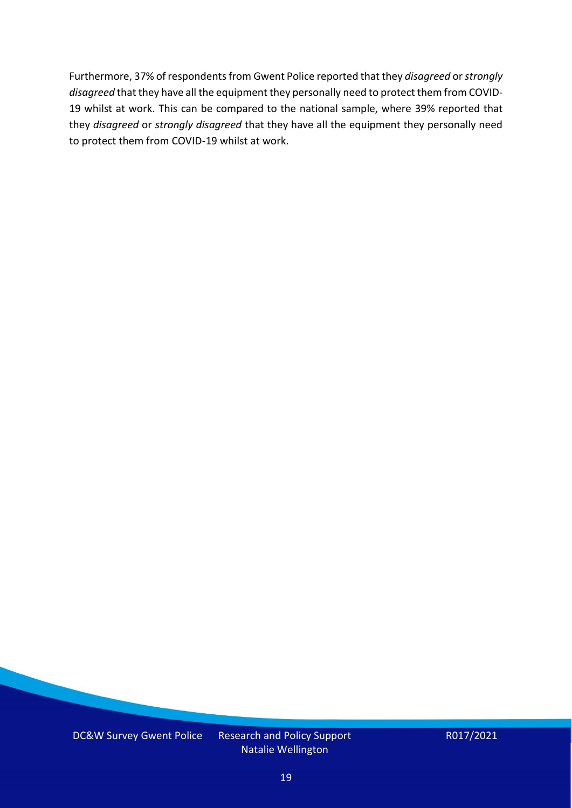Furthermore, 37% of respondents from Gwent Police reported that they *disagreed* or *strongly disagreed* that they have all the equipment they personally need to protect them from COVID-19 whilst at work. This can be compared to the national sample, where 39% reported that they *disagreed* or *strongly disagreed* that they have all the equipment they personally need to protect them from COVID-19 whilst at work.